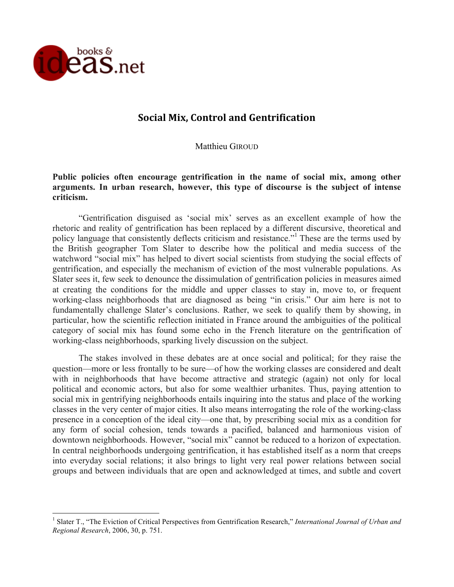

# **Social Mix, Control and Gentrification**

Matthieu GIROUD

## **Public policies often encourage gentrification in the name of social mix, among other arguments. In urban research, however, this type of discourse is the subject of intense criticism.**

"Gentrification disguised as 'social mix' serves as an excellent example of how the rhetoric and reality of gentrification has been replaced by a different discursive, theoretical and policy language that consistently deflects criticism and resistance."<sup>1</sup> These are the terms used by the British geographer Tom Slater to describe how the political and media success of the watchword "social mix" has helped to divert social scientists from studying the social effects of gentrification, and especially the mechanism of eviction of the most vulnerable populations. As Slater sees it, few seek to denounce the dissimulation of gentrification policies in measures aimed at creating the conditions for the middle and upper classes to stay in, move to, or frequent working-class neighborhoods that are diagnosed as being "in crisis." Our aim here is not to fundamentally challenge Slater's conclusions. Rather, we seek to qualify them by showing, in particular, how the scientific reflection initiated in France around the ambiguities of the political category of social mix has found some echo in the French literature on the gentrification of working-class neighborhoods, sparking lively discussion on the subject.

The stakes involved in these debates are at once social and political; for they raise the question—more or less frontally to be sure—of how the working classes are considered and dealt with in neighborhoods that have become attractive and strategic (again) not only for local political and economic actors, but also for some wealthier urbanites. Thus, paying attention to social mix in gentrifying neighborhoods entails inquiring into the status and place of the working classes in the very center of major cities. It also means interrogating the role of the working-class presence in a conception of the ideal city—one that, by prescribing social mix as a condition for any form of social cohesion, tends towards a pacified, balanced and harmonious vision of downtown neighborhoods. However, "social mix" cannot be reduced to a horizon of expectation. In central neighborhoods undergoing gentrification, it has established itself as a norm that creeps into everyday social relations; it also brings to light very real power relations between social groups and between individuals that are open and acknowledged at times, and subtle and covert

 <sup>1</sup> Slater T., "The Eviction of Critical Perspectives from Gentrification Research," *International Journal of Urban and Regional Research*, 2006, 30, p. 751.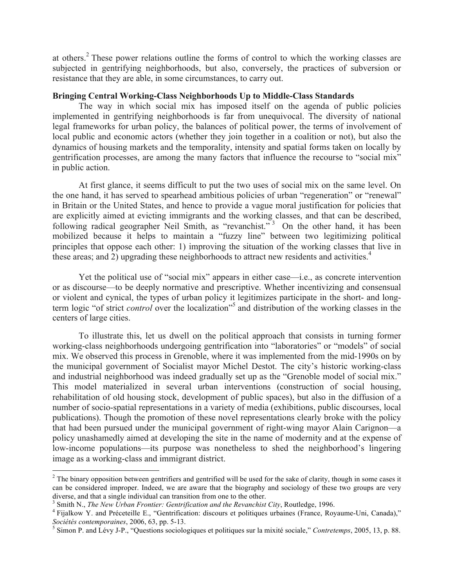at others.<sup>2</sup> These power relations outline the forms of control to which the working classes are subjected in gentrifying neighborhoods, but also, conversely, the practices of subversion or resistance that they are able, in some circumstances, to carry out.

### **Bringing Central Working-Class Neighborhoods Up to Middle-Class Standards**

The way in which social mix has imposed itself on the agenda of public policies implemented in gentrifying neighborhoods is far from unequivocal. The diversity of national legal frameworks for urban policy, the balances of political power, the terms of involvement of local public and economic actors (whether they join together in a coalition or not), but also the dynamics of housing markets and the temporality, intensity and spatial forms taken on locally by gentrification processes, are among the many factors that influence the recourse to "social mix" in public action.

At first glance, it seems difficult to put the two uses of social mix on the same level. On the one hand, it has served to spearhead ambitious policies of urban "regeneration" or "renewal" in Britain or the United States, and hence to provide a vague moral justification for policies that are explicitly aimed at evicting immigrants and the working classes, and that can be described, following radical geographer Neil Smith, as "revanchist."<sup>3</sup> On the other hand, it has been mobilized because it helps to maintain a "fuzzy line" between two legitimizing political principles that oppose each other: 1) improving the situation of the working classes that live in these areas; and 2) upgrading these neighborhoods to attract new residents and activities.<sup>4</sup>

Yet the political use of "social mix" appears in either case—i.e., as concrete intervention or as discourse—to be deeply normative and prescriptive. Whether incentivizing and consensual or violent and cynical, the types of urban policy it legitimizes participate in the short- and longterm logic "of strict *control* over the localization" <sup>5</sup> and distribution of the working classes in the centers of large cities.

To illustrate this, let us dwell on the political approach that consists in turning former working-class neighborhoods undergoing gentrification into "laboratories" or "models" of social mix. We observed this process in Grenoble, where it was implemented from the mid-1990s on by the municipal government of Socialist mayor Michel Destot. The city's historic working-class and industrial neighborhood was indeed gradually set up as the "Grenoble model of social mix." This model materialized in several urban interventions (construction of social housing, rehabilitation of old housing stock, development of public spaces), but also in the diffusion of a number of socio-spatial representations in a variety of media (exhibitions, public discourses, local publications). Though the promotion of these novel representations clearly broke with the policy that had been pursued under the municipal government of right-wing mayor Alain Carignon—a policy unashamedly aimed at developing the site in the name of modernity and at the expense of low-income populations—its purpose was nonetheless to shed the neighborhood's lingering image as a working-class and immigrant district.

 $2$  The binary opposition between gentrifiers and gentrified will be used for the sake of clarity, though in some cases it can be considered improper. Indeed, we are aware that the biography and sociology of these two groups are very

diverse, and that a single individual can transition from one to the other.<br><sup>3</sup> Smith N., *The New Urban Frontier: Gentrification and the Revanchist City*, Routledge, 1996.<br><sup>4</sup> Fijalkow Y. and Préceteille E., "Gentrificati

<sup>&</sup>lt;sup>5</sup> Simon P. and Lévy J-P., "Questions sociologiques et politiques sur la mixité sociale," *Contretemps*, 2005, 13, p. 88.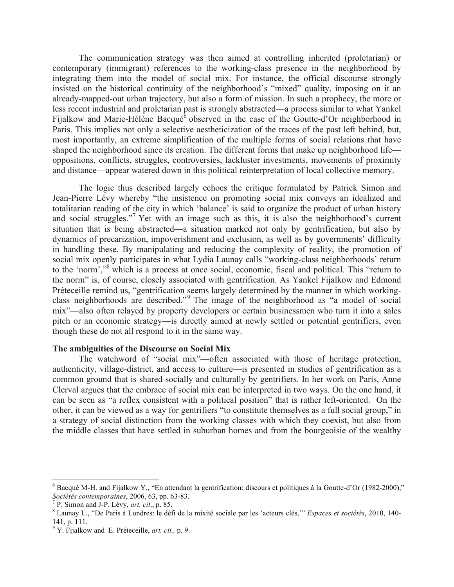The communication strategy was then aimed at controlling inherited (proletarian) or contemporary (immigrant) references to the working-class presence in the neighborhood by integrating them into the model of social mix. For instance, the official discourse strongly insisted on the historical continuity of the neighborhood's "mixed" quality, imposing on it an already-mapped-out urban trajectory, but also a form of mission. In such a prophecy, the more or less recent industrial and proletarian past is strongly abstracted—a process similar to what Yankel Fijalkow and Marie-Hélène Bacqué<sup>6</sup> observed in the case of the Goutte-d'Or neighborhood in Paris. This implies not only a selective aestheticization of the traces of the past left behind, but, most importantly, an extreme simplification of the multiple forms of social relations that have shaped the neighborhood since its creation. The different forms that make up neighborhood life oppositions, conflicts, struggles, controversies, lackluster investments, movements of proximity and distance—appear watered down in this political reinterpretation of local collective memory.

The logic thus described largely echoes the critique formulated by Patrick Simon and Jean-Pierre Lévy whereby "the insistence on promoting social mix conveys an idealized and totalitarian reading of the city in which 'balance' is said to organize the product of urban history and social struggles."<sup>7</sup> Yet with an image such as this, it is also the neighborhood's current situation that is being abstracted—a situation marked not only by gentrification, but also by dynamics of precarization, impoverishment and exclusion, as well as by governments' difficulty in handling these. By manipulating and reducing the complexity of reality, the promotion of social mix openly participates in what Lydia Launay calls "working-class neighborhoods' return to the 'norm',"<sup>8</sup> which is a process at once social, economic, fiscal and political. This "return to the norm" is, of course, closely associated with gentrification. As Yankel Fijalkow and Edmond Préteceille remind us, "gentrification seems largely determined by the manner in which workingclass neighborhoods are described."<sup>9</sup> The image of the neighborhood as "a model of social mix"—also often relayed by property developers or certain businessmen who turn it into a sales pitch or an economic strategy—is directly aimed at newly settled or potential gentrifiers, even though these do not all respond to it in the same way.

#### **The ambiguities of the Discourse on Social Mix**

The watchword of "social mix"—often associated with those of heritage protection, authenticity, village-district, and access to culture—is presented in studies of gentrification as a common ground that is shared socially and culturally by gentrifiers. In her work on Paris, Anne Clerval argues that the embrace of social mix can be interpreted in two ways. On the one hand, it can be seen as "a reflex consistent with a political position" that is rather left-oriented. On the other, it can be viewed as a way for gentrifiers "to constitute themselves as a full social group," in a strategy of social distinction from the working classes with which they coexist, but also from the middle classes that have settled in suburban homes and from the bourgeoisie of the wealthy

<sup>&</sup>lt;sup>6</sup> Bacqué M-H. and Fijalkow Y., "En attendant la gentrification: discours et politiques à la Goutte-d'Or (1982-2000),"<br>Sociétés contemporaines, 2006, 63, pp. 63-83.

<sup>&</sup>lt;sup>7</sup> P. Simon and J-P. Lévy, *art. cit.*, p. 85.<br><sup>8</sup> Launay L., "De Paris à Londres: le défi de la mixité sociale par les 'acteurs clés," *Espaces et sociétés*, 2010, 140-<br>141, p. 111.

<sup>&</sup>lt;sup>9</sup> Y. Fijalkow and E. Préteceille, *art. cit.*, p. 9.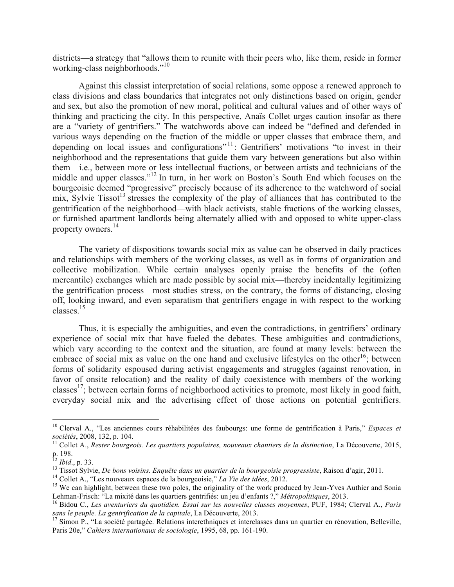districts—a strategy that "allows them to reunite with their peers who, like them, reside in former working-class neighborhoods."<sup>10</sup>

Against this classist interpretation of social relations, some oppose a renewed approach to class divisions and class boundaries that integrates not only distinctions based on origin, gender and sex, but also the promotion of new moral, political and cultural values and of other ways of thinking and practicing the city. In this perspective, Anaïs Collet urges caution insofar as there are a "variety of gentrifiers." The watchwords above can indeed be "defined and defended in various ways depending on the fraction of the middle or upper classes that embrace them, and depending on local issues and configurations<sup> $n+1$ </sup>: Gentrifiers' motivations "to invest in their neighborhood and the representations that guide them vary between generations but also within them—i.e., between more or less intellectual fractions, or between artists and technicians of the middle and upper classes." <sup>12</sup> In turn, in her work on Boston's South End which focuses on the bourgeoisie deemed "progressive" precisely because of its adherence to the watchword of social mix, Sylvie Tissot<sup>13</sup> stresses the complexity of the play of alliances that has contributed to the gentrification of the neighborhood—with black activists, stable fractions of the working classes, or furnished apartment landlords being alternately allied with and opposed to white upper-class property owners.<sup>14</sup>

The variety of dispositions towards social mix as value can be observed in daily practices and relationships with members of the working classes, as well as in forms of organization and collective mobilization. While certain analyses openly praise the benefits of the (often mercantile) exchanges which are made possible by social mix—thereby incidentally legitimizing the gentrification process—most studies stress, on the contrary, the forms of distancing, closing off, looking inward, and even separatism that gentrifiers engage in with respect to the working classes.15

Thus, it is especially the ambiguities, and even the contradictions, in gentrifiers' ordinary experience of social mix that have fueled the debates. These ambiguities and contradictions, which vary according to the context and the situation, are found at many levels: between the embrace of social mix as value on the one hand and exclusive lifestyles on the other<sup>16</sup>; between forms of solidarity espoused during activist engagements and struggles (against renovation, in favor of onsite relocation) and the reality of daily coexistence with members of the working classes<sup>17</sup>; between certain forms of neighborhood activities to promote, most likely in good faith, everyday social mix and the advertising effect of those actions on potential gentrifiers.

<sup>&</sup>lt;sup>10</sup> Clerval A., "Les anciennes cours réhabilitées des faubourgs: une forme de gentrification à Paris," *Espaces et sociétés*, 2008, 132, p. 104.

*sociétés*, 2008, 132, p. 104. <sup>11</sup> Collet A., *Rester bourgeois. Les quartiers populaires, nouveaux chantiers de la distinction*, La Découverte, 2015, p. 198.<br><sup>12</sup> *Ibid.*, p. 33.

<sup>&</sup>lt;sup>13</sup> Tissot Sylvie, *De bons voisins. Enquête dans un quartier de la bourgeoisie progressiste*, Raison d'agir, 2011.<br><sup>14</sup> Collet A., "Les nouveaux espaces de la bourgeoisie," *La Vie des idées*, 2012.<br><sup>15</sup> We can highligh

Lehman-Frisch: "La mixité dans les quartiers gentrifiés: un jeu d'enfants ?," Métropolitiques, 2013.<br><sup>16</sup> Bidou C., *Les aventuriers du quotidien. Essai sur les nouvelles classes moyennes*, PUF, 1984; Clerval A., *Paris sa* 

<sup>&</sup>lt;sup>17</sup> Simon P., "La société partagée. Relations interethniques et interclasses dans un quartier en rénovation, Belleville, Paris 20e," *Cahiers internationaux de sociologie*, 1995, 68, pp. 161-190.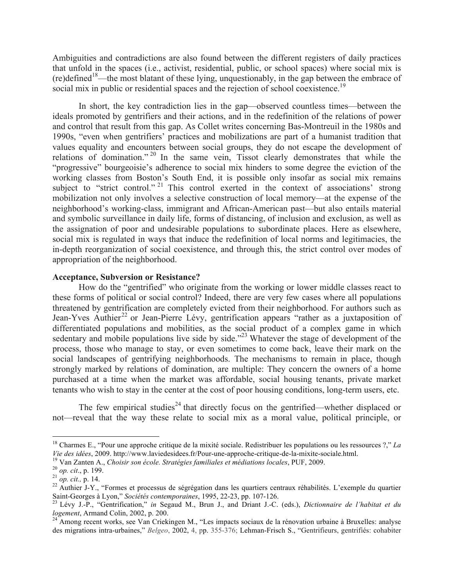Ambiguities and contradictions are also found between the different registers of daily practices that unfold in the spaces (i.e., activist, residential, public, or school spaces) where social mix is  $(re)$ defined<sup>18</sup>—the most blatant of these lying, unquestionably, in the gap between the embrace of social mix in public or residential spaces and the rejection of school coexistence.<sup>19</sup>

In short, the key contradiction lies in the gap—observed countless times—between the ideals promoted by gentrifiers and their actions, and in the redefinition of the relations of power and control that result from this gap. As Collet writes concerning Bas-Montreuil in the 1980s and 1990s, "even when gentrifiers' practices and mobilizations are part of a humanist tradition that values equality and encounters between social groups, they do not escape the development of relations of domination."<sup>20</sup> In the same vein, Tissot clearly demonstrates that while the "progressive" bourgeoisie's adherence to social mix hinders to some degree the eviction of the working classes from Boston's South End, it is possible only insofar as social mix remains subject to "strict control."<sup>21</sup> This control exerted in the context of associations' strong mobilization not only involves a selective construction of local memory—at the expense of the neighborhood's working-class, immigrant and African-American past—but also entails material and symbolic surveillance in daily life, forms of distancing, of inclusion and exclusion, as well as the assignation of poor and undesirable populations to subordinate places. Here as elsewhere, social mix is regulated in ways that induce the redefinition of local norms and legitimacies, the in-depth reorganization of social coexistence, and through this, the strict control over modes of appropriation of the neighborhood.

## **Acceptance, Subversion or Resistance?**

How do the "gentrified" who originate from the working or lower middle classes react to these forms of political or social control? Indeed, there are very few cases where all populations threatened by gentrification are completely evicted from their neighborhood. For authors such as Jean-Yves Authier<sup>22</sup> or Jean-Pierre Lévy, gentrification appears "rather as a juxtaposition of differentiated populations and mobilities, as the social product of a complex game in which sedentary and mobile populations live side by side."<sup>23</sup> Whatever the stage of development of the process, those who manage to stay, or even sometimes to come back, leave their mark on the social landscapes of gentrifying neighborhoods. The mechanisms to remain in place, though strongly marked by relations of domination, are multiple: They concern the owners of a home purchased at a time when the market was affordable, social housing tenants, private market tenants who wish to stay in the center at the cost of poor housing conditions, long-term users, etc.

The few empirical studies<sup>24</sup> that directly focus on the gentrified—whether displaced or not—reveal that the way these relate to social mix as a moral value, political principle, or

<sup>&</sup>lt;sup>18</sup> Charmes E., "Pour une approche critique de la mixité sociale. Redistribuer les populations ou les ressources ?," *La Vie des idées*, 2009. http://www.laviedesidees.fr/Pour-une-approche-critique-de-la-mixite-sociale.

<sup>&</sup>lt;sup>19</sup> Van Zanten A., Choisir son école. Stratégies familiales et médiations locales, PUF, 2009.<br><sup>20</sup> op. cit., p. 199.<br><sup>21</sup> op. cit., p. 14.<br><sup>22</sup> Authier J-Y., "Formes et processus de ségrégation dans les quartiers centrau

Saint-Georges à Lyon," *Sociétés contemporaines*, 1995, 22-23, pp. 107-126.<br><sup>23</sup> Lévy J.-P., "Gentrification," *in* Segaud M., Brun J., and Driant J.-C. (eds.), *Dictionnaire de l'habitat et du* 

*logement*, Armand Colin, 2002, p. 200.<br><sup>24</sup> Among recent works, see Van Criekingen M., "Les impacts sociaux de la rénovation urbaine à Bruxelles: analyse

des migrations intra-urbaines," *Belgeo*, 2002, 4, pp. 355-376; Lehman-Frisch S., "Gentrifieurs, gentrifiés: cohabiter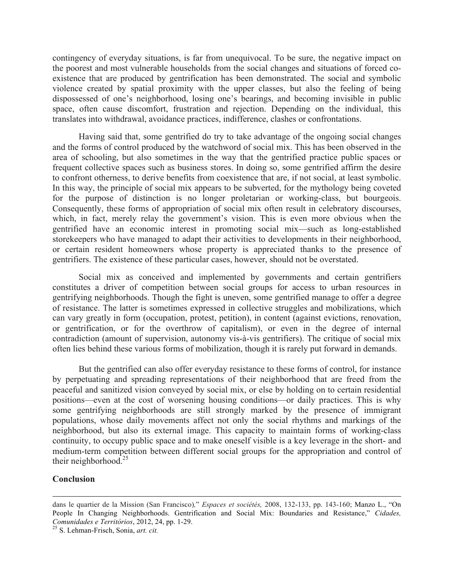contingency of everyday situations, is far from unequivocal. To be sure, the negative impact on the poorest and most vulnerable households from the social changes and situations of forced coexistence that are produced by gentrification has been demonstrated. The social and symbolic violence created by spatial proximity with the upper classes, but also the feeling of being dispossessed of one's neighborhood, losing one's bearings, and becoming invisible in public space, often cause discomfort, frustration and rejection. Depending on the individual, this translates into withdrawal, avoidance practices, indifference, clashes or confrontations.

Having said that, some gentrified do try to take advantage of the ongoing social changes and the forms of control produced by the watchword of social mix. This has been observed in the area of schooling, but also sometimes in the way that the gentrified practice public spaces or frequent collective spaces such as business stores. In doing so, some gentrified affirm the desire to confront otherness, to derive benefits from coexistence that are, if not social, at least symbolic. In this way, the principle of social mix appears to be subverted, for the mythology being coveted for the purpose of distinction is no longer proletarian or working-class, but bourgeois. Consequently, these forms of appropriation of social mix often result in celebratory discourses, which, in fact, merely relay the government's vision. This is even more obvious when the gentrified have an economic interest in promoting social mix—such as long-established storekeepers who have managed to adapt their activities to developments in their neighborhood, or certain resident homeowners whose property is appreciated thanks to the presence of gentrifiers. The existence of these particular cases, however, should not be overstated.

Social mix as conceived and implemented by governments and certain gentrifiers constitutes a driver of competition between social groups for access to urban resources in gentrifying neighborhoods. Though the fight is uneven, some gentrified manage to offer a degree of resistance. The latter is sometimes expressed in collective struggles and mobilizations, which can vary greatly in form (occupation, protest, petition), in content (against evictions, renovation, or gentrification, or for the overthrow of capitalism), or even in the degree of internal contradiction (amount of supervision, autonomy vis-à-vis gentrifiers). The critique of social mix often lies behind these various forms of mobilization, though it is rarely put forward in demands.

But the gentrified can also offer everyday resistance to these forms of control, for instance by perpetuating and spreading representations of their neighborhood that are freed from the peaceful and sanitized vision conveyed by social mix, or else by holding on to certain residential positions—even at the cost of worsening housing conditions—or daily practices. This is why some gentrifying neighborhoods are still strongly marked by the presence of immigrant populations, whose daily movements affect not only the social rhythms and markings of the neighborhood, but also its external image. This capacity to maintain forms of working-class continuity, to occupy public space and to make oneself visible is a key leverage in the short- and medium-term competition between different social groups for the appropriation and control of their neighborhood. $25$ 

## **Conclusion**

<u> 1989 - Andrea Santa Andrea Andrea Andrea Andrea Andrea Andrea Andrea Andrea Andrea Andrea Andrea Andrea Andr</u>

dans le quartier de la Mission (San Francisco)*,*" *Espaces et sociétés,* 2008, 132-133, pp. 143-160; Manzo L., "On People In Changing Neighborhoods. Gentrification and Social Mix: Boundaries and Resistance," *Cidades, Comunidades e Territórios*, 2012, 24, pp. 1-29. <sup>25</sup> S. Lehman-Frisch, Sonia, *art. cit.*